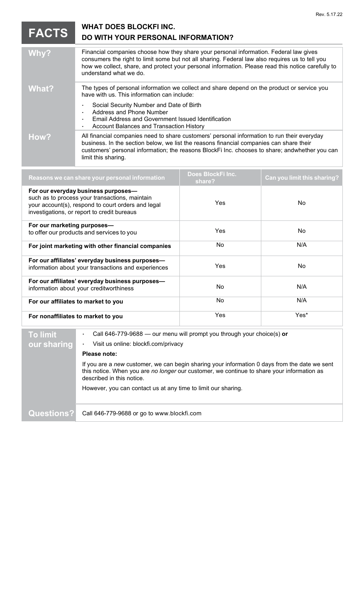| <b>FACTS</b> | <b>WHAT DOES BLOCKFI INC.</b><br>DO WITH YOUR PERSONAL INFORMATION?                                                                                                                                                                                                                                                       |
|--------------|---------------------------------------------------------------------------------------------------------------------------------------------------------------------------------------------------------------------------------------------------------------------------------------------------------------------------|
| Why?         | Financial companies choose how they share your personal information. Federal law gives<br>consumers the right to limit some but not all sharing. Federal law also requires us to tell you<br>how we collect, share, and protect your personal information. Please read this notice carefully to<br>understand what we do. |
| What?        | The types of personal information we collect and share depend on the product or service you<br>have with us. This information can include:                                                                                                                                                                                |
|              | Social Security Number and Date of Birth<br>Address and Phone Number<br>Email Address and Government Issued Identification<br>Account Balances and Transaction History                                                                                                                                                    |
| How?         | All financial companies need to share customers' personal information to run their everyday<br>business. In the section below, we list the reasons financial companies can share their<br>customers' personal information; the reasons BlockFi Inc. chooses to share; andwhether you can<br>limit this sharing.           |

Rev. 5.17.22

| Reasons we can share your personal information                                                                                                                                             | Does BlockFilnc.<br>share? | Can you limit this sharing? |
|--------------------------------------------------------------------------------------------------------------------------------------------------------------------------------------------|----------------------------|-----------------------------|
| For our everyday business purposes-<br>such as to process your transactions, maintain<br>your account(s), respond to court orders and legal<br>investigations, or report to credit bureaus | Yes                        | No.                         |
| For our marketing purposes-<br>to offer our products and services to you                                                                                                                   | Yes                        | No.                         |
| For joint marketing with other financial companies                                                                                                                                         | <b>No</b>                  | N/A                         |
| For our affiliates' everyday business purposes-<br>information about your transactions and experiences                                                                                     | Yes                        | No.                         |
| For our affiliates' everyday business purposes-<br>information about your creditworthiness                                                                                                 | No                         | N/A                         |
| For our affiliates to market to you                                                                                                                                                        | No.                        | N/A                         |
| For nonaffiliates to market to you                                                                                                                                                         | Yes                        | Yes*                        |
|                                                                                                                                                                                            |                            |                             |

## **To limit our sharing** Call 646-779-9688 — our menu will prompt you through your choice(s) **or** Visit us online: blockfi.com/privacy **Please note:** If you are a *new* customer, we can begin sharing your information 0 days from the date we sent this notice. When you are *no longer* our customer, we continue to share your information as described in this notice.

However, you can contact us at any time to limit our sharing.

**Questions?** Call 646-779-9688 or go to www.blockfi.com